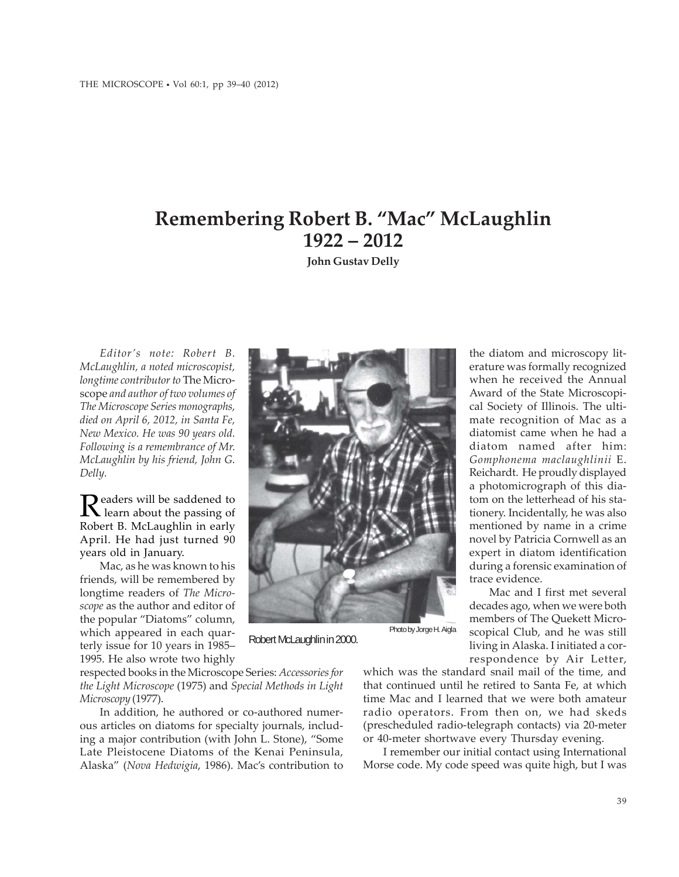## **Remembering Robert B. "Mac" McLaughlin 1922 – 2012**

**John Gustav Delly**

*Editor's note: Robert B. McLaughlin, a noted microscopist, longtime contributor to* The Microscope *and author of two volumes of The Microscope Series monographs, died on April 6, 2012, in Santa Fe, New Mexico. He was 90 years old. Following is a remembrance of Mr. McLaughlin by his friend, John G. Delly.*

Readers will be saddened to<br>
Rearn about the passing of Robert B. McLaughlin in early April. He had just turned 90 years old in January.

Mac, as he was known to his friends, will be remembered by longtime readers of *The Microscope* as the author and editor of the popular "Diatoms" column, which appeared in each quarterly issue for 10 years in 1985– 1995. He also wrote two highly

respected books in the Microscope Series: *Accessories for the Light Microscope* (1975) and *Special Methods in Light Microscopy* (1977).

In addition, he authored or co-authored numerous articles on diatoms for specialty journals, including a major contribution (with John L. Stone), "Some Late Pleistocene Diatoms of the Kenai Peninsula, Alaska" (*Nova Hedwigia*, 1986). Mac's contribution to erature was formally recognized when he received the Annual Award of the State Microscopical Society of Illinois. The ultimate recognition of Mac as a diatomist came when he had a diatom named after him: *Gomphonema maclaughlinii* E. Reichardt. He proudly displayed a photomicrograph of this diatom on the letterhead of his stationery. Incidentally, he was also mentioned by name in a crime novel by Patricia Cornwell as an expert in diatom identification during a forensic examination of trace evidence. Mac and I first met several

decades ago, when we were both members of The Quekett Microscopical Club, and he was still living in Alaska. I initiated a correspondence by Air Letter,

the diatom and microscopy lit-

which was the standard snail mail of the time, and that continued until he retired to Santa Fe, at which time Mac and I learned that we were both amateur radio operators. From then on, we had skeds (prescheduled radio-telegraph contacts) via 20-meter or 40-meter shortwave every Thursday evening.

I remember our initial contact using International Morse code. My code speed was quite high, but I was

Photo by Jorge H. Aigla



Robert McLaughlin in 2000.